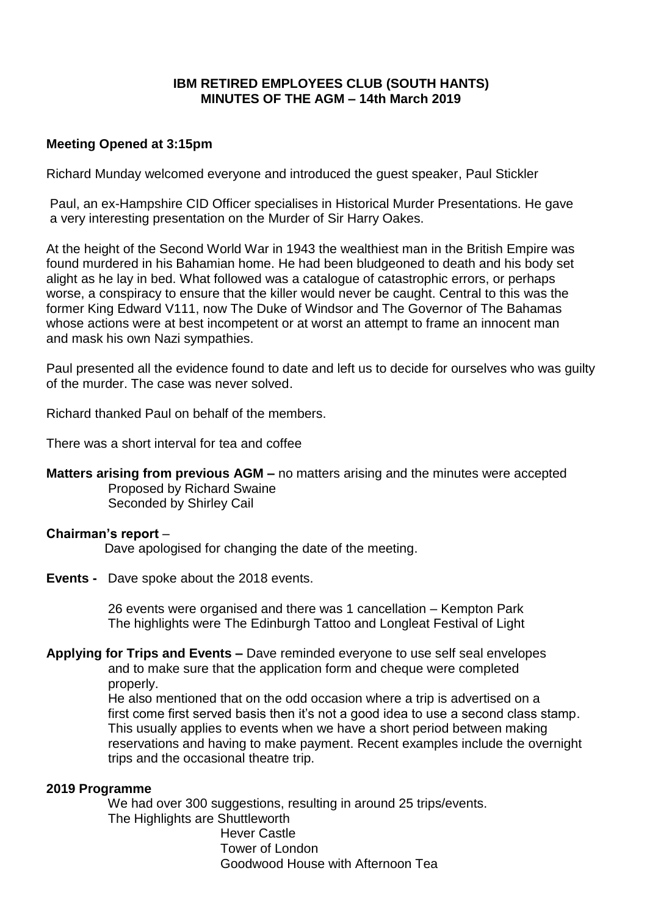## **IBM RETIRED EMPLOYEES CLUB (SOUTH HANTS) MINUTES OF THE AGM – 14th March 2019**

#### **Meeting Opened at 3:15pm**

Richard Munday welcomed everyone and introduced the guest speaker, Paul Stickler

Paul, an ex-Hampshire CID Officer specialises in Historical Murder Presentations. He gave a very interesting presentation on the Murder of Sir Harry Oakes.

At the height of the Second World War in 1943 the wealthiest man in the British Empire was found murdered in his Bahamian home. He had been bludgeoned to death and his body set alight as he lay in bed. What followed was a catalogue of catastrophic errors, or perhaps worse, a conspiracy to ensure that the killer would never be caught. Central to this was the former King Edward V111, now The Duke of Windsor and The Governor of The Bahamas whose actions were at best incompetent or at worst an attempt to frame an innocent man and mask his own Nazi sympathies.

Paul presented all the evidence found to date and left us to decide for ourselves who was guilty of the murder. The case was never solved.

Richard thanked Paul on behalf of the members.

There was a short interval for tea and coffee

**Matters arising from previous AGM –** no matters arising and the minutes were accepted Proposed by Richard Swaine Seconded by Shirley Cail

#### **Chairman's report** –

Dave apologised for changing the date of the meeting.

**Events -** Dave spoke about the 2018 events.

 26 events were organised and there was 1 cancellation – Kempton Park The highlights were The Edinburgh Tattoo and Longleat Festival of Light

**Applying for Trips and Events –** Dave reminded everyone to use self seal envelopes and to make sure that the application form and cheque were completed properly.

> He also mentioned that on the odd occasion where a trip is advertised on a first come first served basis then it's not a good idea to use a second class stamp. This usually applies to events when we have a short period between making reservations and having to make payment. Recent examples include the overnight trips and the occasional theatre trip.

#### **2019 Programme**

We had over 300 suggestions, resulting in around 25 trips/events. The Highlights are Shuttleworth Hever Castle Tower of London Goodwood House with Afternoon Tea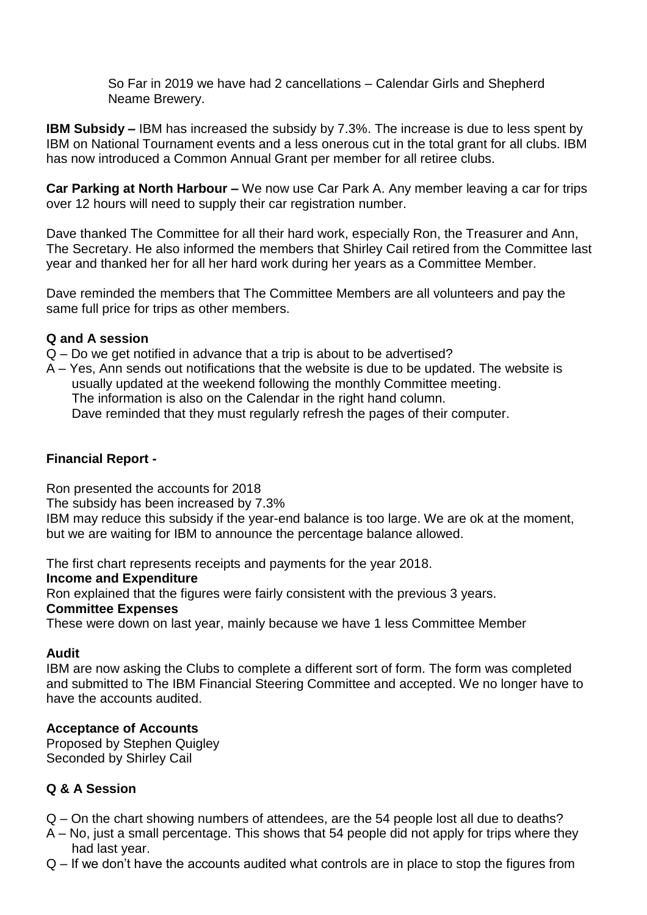So Far in 2019 we have had 2 cancellations – Calendar Girls and Shepherd Neame Brewery.

**IBM Subsidy –** IBM has increased the subsidy by 7.3%. The increase is due to less spent by IBM on National Tournament events and a less onerous cut in the total grant for all clubs. IBM has now introduced a Common Annual Grant per member for all retiree clubs.

**Car Parking at North Harbour –** We now use Car Park A. Any member leaving a car for trips over 12 hours will need to supply their car registration number.

Dave thanked The Committee for all their hard work, especially Ron, the Treasurer and Ann, The Secretary. He also informed the members that Shirley Cail retired from the Committee last year and thanked her for all her hard work during her years as a Committee Member.

Dave reminded the members that The Committee Members are all volunteers and pay the same full price for trips as other members.

### **Q and A session**

- Q Do we get notified in advance that a trip is about to be advertised?
- A Yes, Ann sends out notifications that the website is due to be updated. The website is usually updated at the weekend following the monthly Committee meeting. The information is also on the Calendar in the right hand column. Dave reminded that they must regularly refresh the pages of their computer.

## **Financial Report -**

Ron presented the accounts for 2018

The subsidy has been increased by 7.3%

IBM may reduce this subsidy if the year-end balance is too large. We are ok at the moment, but we are waiting for IBM to announce the percentage balance allowed.

The first chart represents receipts and payments for the year 2018.

#### **Income and Expenditure**

Ron explained that the figures were fairly consistent with the previous 3 years.

#### **Committee Expenses**

These were down on last year, mainly because we have 1 less Committee Member

#### **Audit**

IBM are now asking the Clubs to complete a different sort of form. The form was completed and submitted to The IBM Financial Steering Committee and accepted. We no longer have to have the accounts audited.

# **Acceptance of Accounts**

Proposed by Stephen Quigley Seconded by Shirley Cail

# **Q & A Session**

- Q On the chart showing numbers of attendees, are the 54 people lost all due to deaths?
- A No, just a small percentage. This shows that 54 people did not apply for trips where they had last year.
- Q If we don't have the accounts audited what controls are in place to stop the figures from